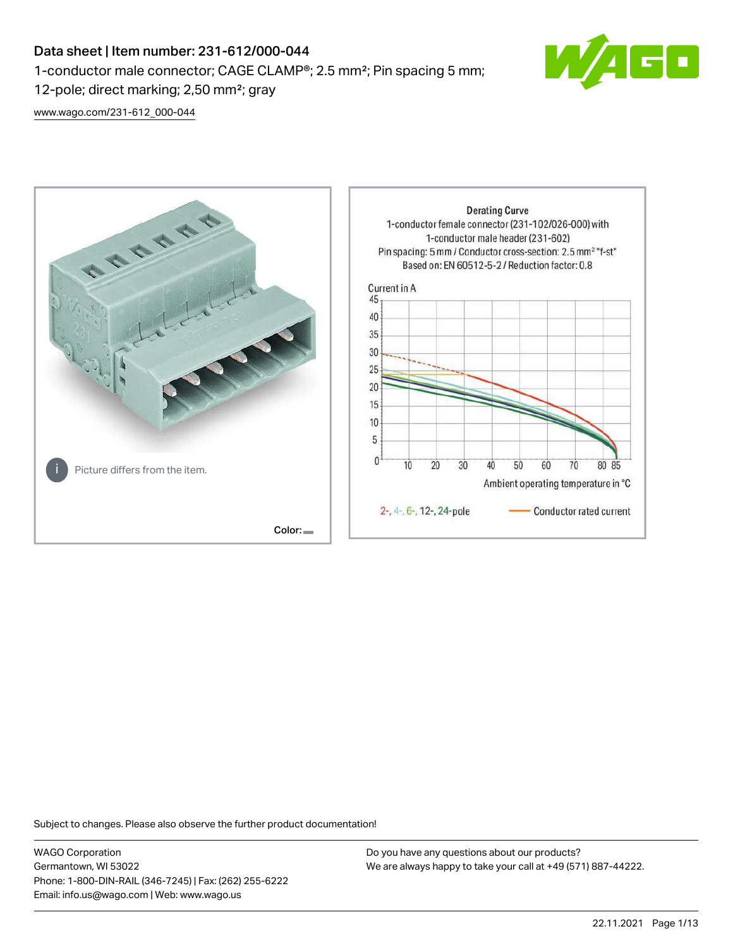1-conductor male connector; CAGE CLAMP®; 2.5 mm²; Pin spacing 5 mm;

12-pole; direct marking; 2,50 mm²; gray

[www.wago.com/231-612\\_000-044](http://www.wago.com/231-612_000-044)



Subject to changes. Please also observe the further product documentation!

WAGO Corporation Germantown, WI 53022 Phone: 1-800-DIN-RAIL (346-7245) | Fax: (262) 255-6222 Email: info.us@wago.com | Web: www.wago.us

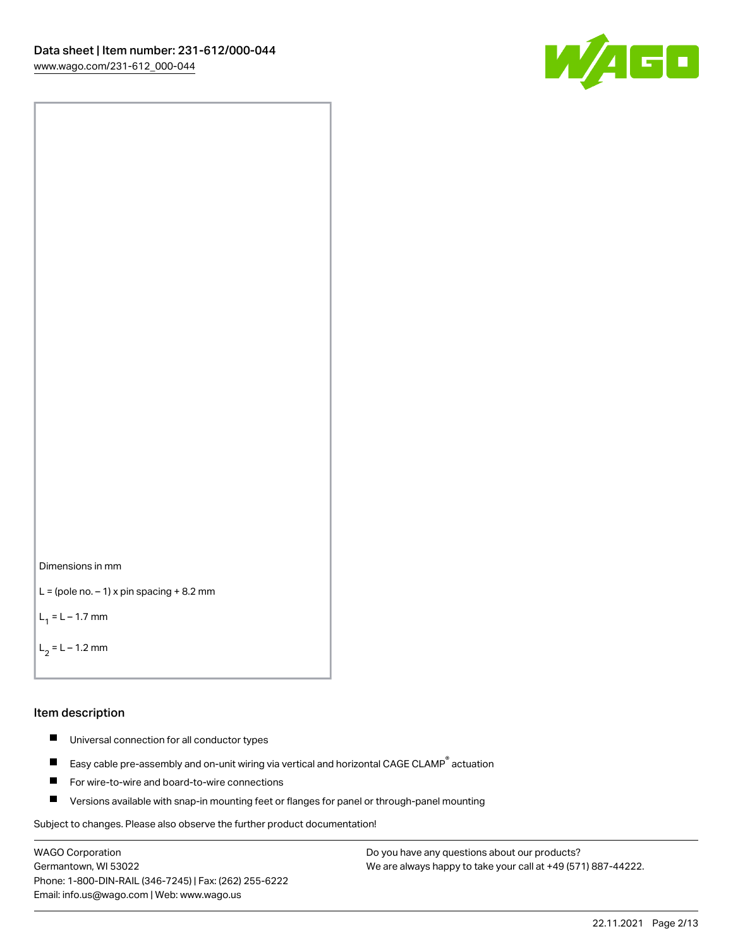



```
L = (pole no. -1) x pin spacing +8.2 mm
```
 $L_1 = L - 1.7$  mm

```
L_2 = L - 1.2 mm
```
#### Item description

- $\blacksquare$ Universal connection for all conductor types
- Easy cable pre-assembly and on-unit wiring via vertical and horizontal CAGE CLAMP<sup>®</sup> actuation  $\blacksquare$
- $\blacksquare$ For wire-to-wire and board-to-wire connections
- $\blacksquare$ Versions available with snap-in mounting feet or flanges for panel or through-panel mounting

Subject to changes. Please also observe the further product documentation!

WAGO Corporation Germantown, WI 53022 Phone: 1-800-DIN-RAIL (346-7245) | Fax: (262) 255-6222 Email: info.us@wago.com | Web: www.wago.us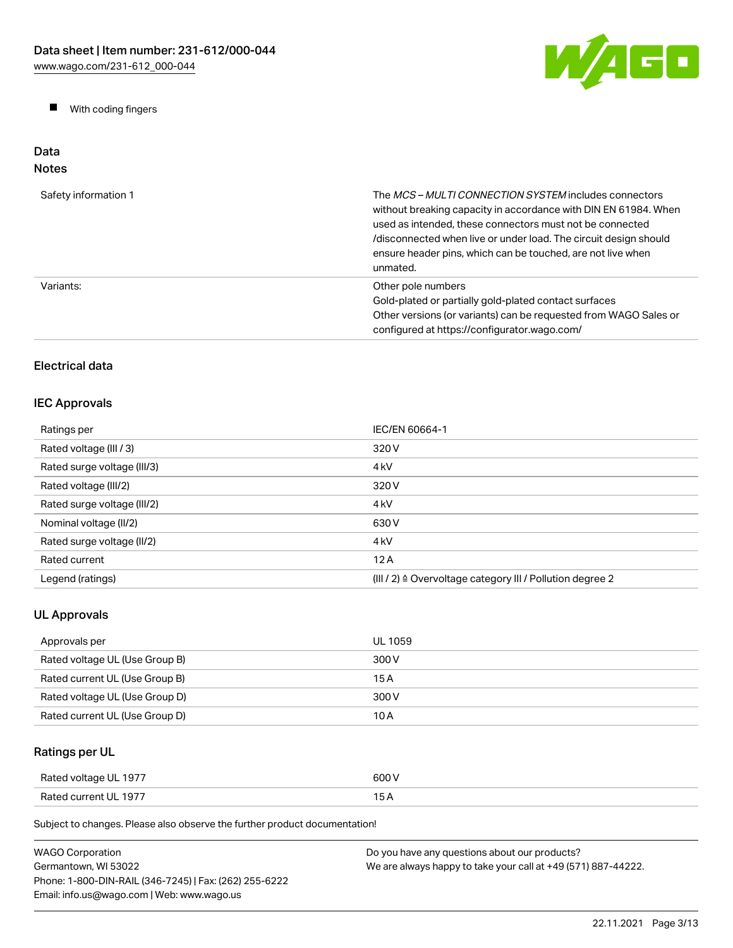W/AGO

 $\blacksquare$ With coding fingers

#### Data Notes

| Safety information 1 | The <i>MCS - MULTI CONNECTION SYSTEM</i> includes connectors<br>without breaking capacity in accordance with DIN EN 61984. When<br>used as intended, these connectors must not be connected<br>/disconnected when live or under load. The circuit design should<br>ensure header pins, which can be touched, are not live when<br>unmated. |
|----------------------|--------------------------------------------------------------------------------------------------------------------------------------------------------------------------------------------------------------------------------------------------------------------------------------------------------------------------------------------|
| Variants:            | Other pole numbers<br>Gold-plated or partially gold-plated contact surfaces<br>Other versions (or variants) can be requested from WAGO Sales or<br>configured at https://configurator.wago.com/                                                                                                                                            |

# Electrical data

## IEC Approvals

| Ratings per                 | IEC/EN 60664-1                                                       |
|-----------------------------|----------------------------------------------------------------------|
| Rated voltage (III / 3)     | 320 V                                                                |
| Rated surge voltage (III/3) | 4 <sub>k</sub> V                                                     |
| Rated voltage (III/2)       | 320 V                                                                |
| Rated surge voltage (III/2) | 4 <sub>k</sub> V                                                     |
| Nominal voltage (II/2)      | 630 V                                                                |
| Rated surge voltage (II/2)  | 4 <sub>k</sub> V                                                     |
| Rated current               | 12A                                                                  |
| Legend (ratings)            | (III / 2) $\triangleq$ Overvoltage category III / Pollution degree 2 |

# UL Approvals

| Approvals per                  | UL 1059 |
|--------------------------------|---------|
| Rated voltage UL (Use Group B) | 300 V   |
| Rated current UL (Use Group B) | 15 A    |
| Rated voltage UL (Use Group D) | 300 V   |
| Rated current UL (Use Group D) | 10 A    |

# Ratings per UL

| Rated voltage UL 1977 | 600 V |
|-----------------------|-------|
| Rated current UL 1977 | 15 A  |

Subject to changes. Please also observe the further product documentation!

| WAGO Corporation                                       | Do you have any questions about our products?                 |
|--------------------------------------------------------|---------------------------------------------------------------|
| Germantown, WI 53022                                   | We are always happy to take your call at +49 (571) 887-44222. |
| Phone: 1-800-DIN-RAIL (346-7245)   Fax: (262) 255-6222 |                                                               |
| Email: info.us@wago.com   Web: www.wago.us             |                                                               |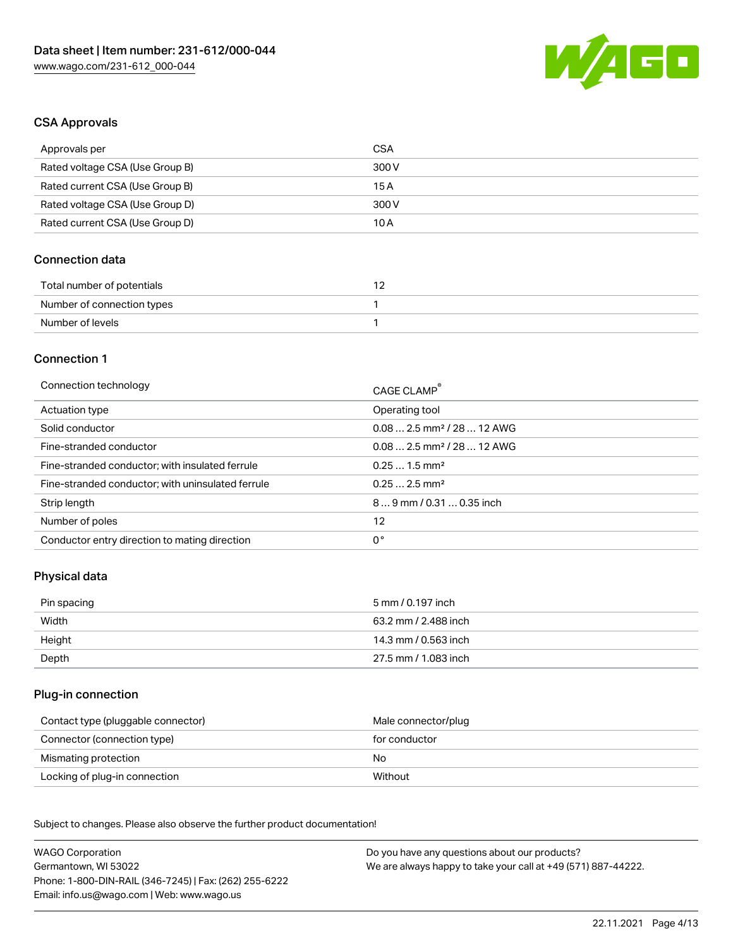

## CSA Approvals

| Approvals per                   | CSA   |
|---------------------------------|-------|
| Rated voltage CSA (Use Group B) | 300 V |
| Rated current CSA (Use Group B) | 15A   |
| Rated voltage CSA (Use Group D) | 300 V |
| Rated current CSA (Use Group D) | 10 A  |

### Connection data

| Total number of potentials |  |
|----------------------------|--|
| Number of connection types |  |
| Number of levels           |  |

## Connection 1

| Connection technology                             | CAGE CLAMP <sup>®</sup>                 |
|---------------------------------------------------|-----------------------------------------|
| Actuation type                                    | Operating tool                          |
| Solid conductor                                   | $0.082.5$ mm <sup>2</sup> / 28  12 AWG  |
| Fine-stranded conductor                           | $0.08$ 2.5 mm <sup>2</sup> / 28  12 AWG |
| Fine-stranded conductor; with insulated ferrule   | $0.251.5$ mm <sup>2</sup>               |
| Fine-stranded conductor; with uninsulated ferrule | $0.252.5$ mm <sup>2</sup>               |
| Strip length                                      | 89 mm / 0.31  0.35 inch                 |
| Number of poles                                   | 12                                      |
| Conductor entry direction to mating direction     | 0°                                      |
|                                                   |                                         |

### Physical data

| Pin spacing | 5 mm / 0.197 inch    |
|-------------|----------------------|
| Width       | 63.2 mm / 2.488 inch |
| Height      | 14.3 mm / 0.563 inch |
| Depth       | 27.5 mm / 1.083 inch |

### Plug-in connection

| Contact type (pluggable connector) | Male connector/plug |
|------------------------------------|---------------------|
| Connector (connection type)        | for conductor       |
| Mismating protection               | No                  |
| Locking of plug-in connection      | Without             |

Subject to changes. Please also observe the further product documentation! Material data

| <b>WAGO Corporation</b>                                | Do you have any questions about our products?                 |
|--------------------------------------------------------|---------------------------------------------------------------|
| Germantown, WI 53022                                   | We are always happy to take your call at +49 (571) 887-44222. |
| Phone: 1-800-DIN-RAIL (346-7245)   Fax: (262) 255-6222 |                                                               |
| Email: info.us@wago.com   Web: www.wago.us             |                                                               |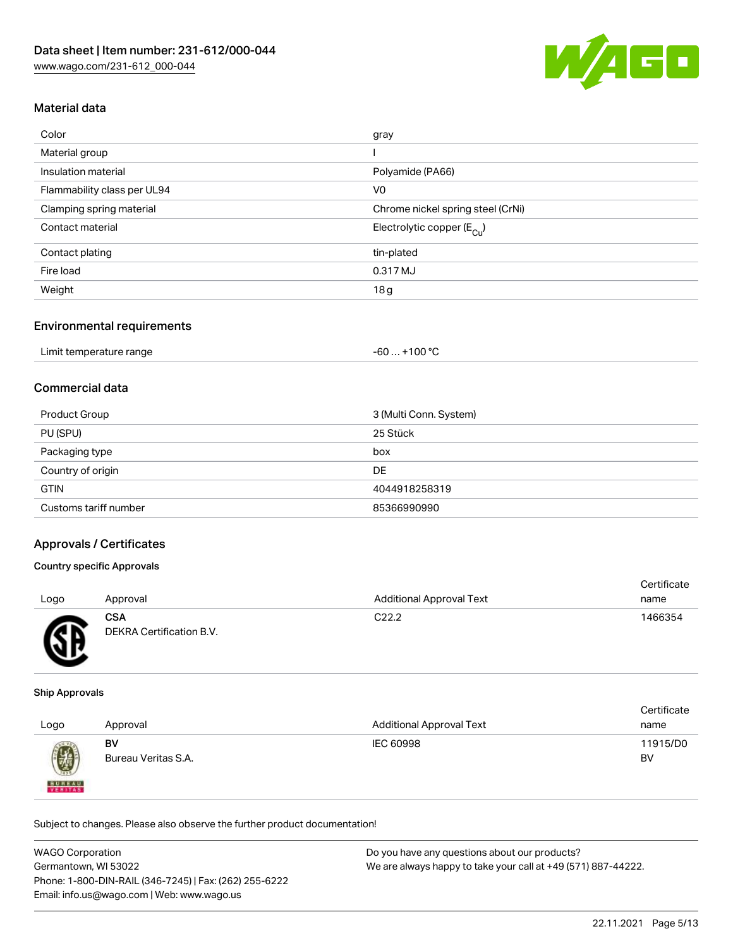

## Material data

| Color                       | gray                                   |
|-----------------------------|----------------------------------------|
| Material group              |                                        |
| Insulation material         | Polyamide (PA66)                       |
| Flammability class per UL94 | V <sub>0</sub>                         |
| Clamping spring material    | Chrome nickel spring steel (CrNi)      |
| Contact material            | Electrolytic copper (E <sub>Cu</sub> ) |
| Contact plating             | tin-plated                             |
| Fire load                   | 0.317 MJ                               |
| Weight                      | 18g                                    |
|                             |                                        |

#### Environmental requirements

| Limit temperature range | . +100 °C<br>-60 … |
|-------------------------|--------------------|
|-------------------------|--------------------|

### Commercial data

| Product Group         | 3 (Multi Conn. System) |
|-----------------------|------------------------|
| PU (SPU)              | 25 Stück               |
| Packaging type        | box                    |
| Country of origin     | DE                     |
| <b>GTIN</b>           | 4044918258319          |
| Customs tariff number | 85366990990            |

### Approvals / Certificates

#### Country specific Approvals

| Logo | Approval                               | <b>Additional Approval Text</b> | Certificate<br>name |
|------|----------------------------------------|---------------------------------|---------------------|
| Æ    | <b>CSA</b><br>DEKRA Certification B.V. | C <sub>22.2</sub>               | 1466354             |

#### Ship Approvals

| Logo          | Approval            | <b>Additional Approval Text</b> | Certificate<br>name |
|---------------|---------------------|---------------------------------|---------------------|
| 0             | BV                  | IEC 60998                       | 11915/D0            |
| <b>BUREAU</b> | Bureau Veritas S.A. |                                 | BV                  |

Subject to changes. Please also observe the further product documentation!

| <b>WAGO Corporation</b>                                | Do you have any questions about our products?                 |
|--------------------------------------------------------|---------------------------------------------------------------|
| Germantown, WI 53022                                   | We are always happy to take your call at +49 (571) 887-44222. |
| Phone: 1-800-DIN-RAIL (346-7245)   Fax: (262) 255-6222 |                                                               |
| Email: info.us@wago.com   Web: www.wago.us             |                                                               |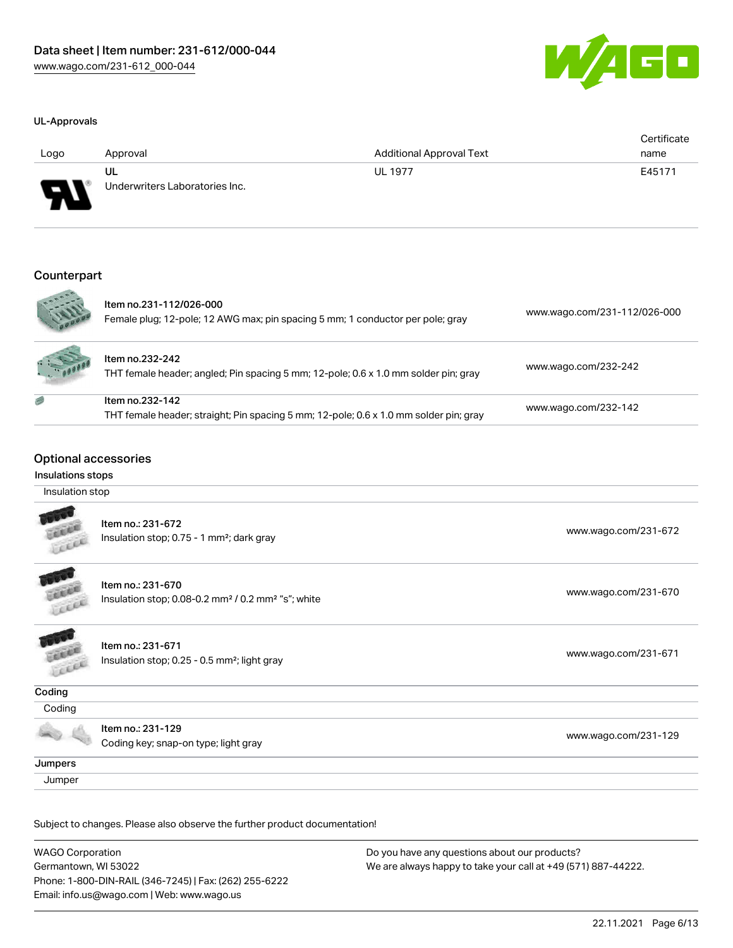



| Logo              | Approval                                                                                                 | <b>Additional Approval Text</b> | Certificate<br>name          |
|-------------------|----------------------------------------------------------------------------------------------------------|---------------------------------|------------------------------|
|                   | UL                                                                                                       | <b>UL 1977</b>                  | E45171                       |
|                   | Underwriters Laboratories Inc.                                                                           |                                 |                              |
| Counterpart       |                                                                                                          |                                 |                              |
|                   | Item no.231-112/026-000                                                                                  |                                 |                              |
|                   | Female plug; 12-pole; 12 AWG max; pin spacing 5 mm; 1 conductor per pole; gray                           |                                 | www.wago.com/231-112/026-000 |
|                   | Item no.232-242<br>THT female header; angled; Pin spacing 5 mm; 12-pole; 0.6 x 1.0 mm solder pin; gray   |                                 | www.wago.com/232-242         |
|                   | Item no.232-142<br>THT female header; straight; Pin spacing 5 mm; 12-pole; 0.6 x 1.0 mm solder pin; gray |                                 | www.wago.com/232-142         |
|                   | <b>Optional accessories</b>                                                                              |                                 |                              |
| Insulations stops |                                                                                                          |                                 |                              |
| Insulation stop   |                                                                                                          |                                 |                              |
|                   | Item no.: 231-672<br>Insulation stop; 0.75 - 1 mm <sup>2</sup> ; dark gray                               |                                 | www.wago.com/231-672         |
|                   | Item no.: 231-670                                                                                        |                                 | www.wago.com/231-670         |

|         | Item no.: 231-672<br>Insulation stop; 0.75 - 1 mm <sup>2</sup> ; dark gray                      | www.wago.com/231-672 |
|---------|-------------------------------------------------------------------------------------------------|----------------------|
| Lee     | Item no.: 231-670<br>Insulation stop; 0.08-0.2 mm <sup>2</sup> / 0.2 mm <sup>2</sup> "s"; white | www.wago.com/231-670 |
|         | Item no.: 231-671<br>Insulation stop; 0.25 - 0.5 mm <sup>2</sup> ; light gray                   | www.wago.com/231-671 |
| Coding  |                                                                                                 |                      |
| Coding  |                                                                                                 |                      |
|         | Item no.: 231-129<br>Coding key; snap-on type; light gray                                       | www.wago.com/231-129 |
| Jumpers |                                                                                                 |                      |
| Jumper  |                                                                                                 |                      |

Subject to changes. Please also observe the further product documentation!

WAGO Corporation Germantown, WI 53022 Phone: 1-800-DIN-RAIL (346-7245) | Fax: (262) 255-6222 Email: info.us@wago.com | Web: www.wago.us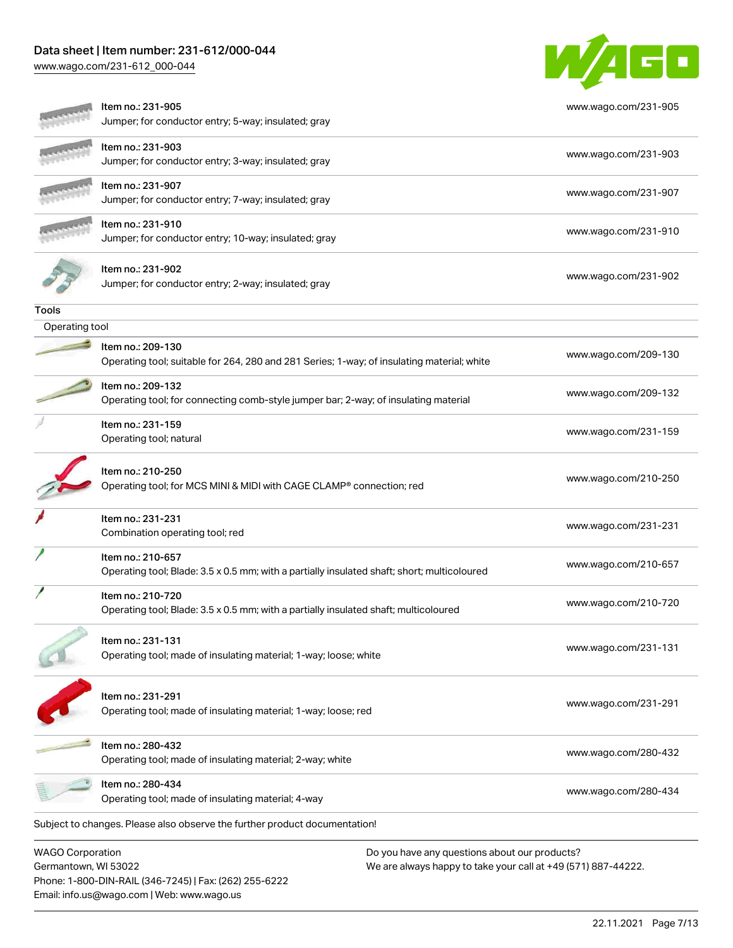Phone: 1-800-DIN-RAIL (346-7245) | Fax: (262) 255-6222

Email: info.us@wago.com | Web: www.wago.us

[www.wago.com/231-612\\_000-044](http://www.wago.com/231-612_000-044)



| <b>WAGO Corporation</b><br>Germantown, WI 53022 |                                                                                                                  | Do you have any questions about our products?<br>We are always happy to take your call at +49 (571) 887-44222. |
|-------------------------------------------------|------------------------------------------------------------------------------------------------------------------|----------------------------------------------------------------------------------------------------------------|
|                                                 | Subject to changes. Please also observe the further product documentation!                                       |                                                                                                                |
|                                                 | Item no.: 280-434<br>Operating tool; made of insulating material; 4-way                                          | www.wago.com/280-434                                                                                           |
|                                                 | Item no.: 280-432<br>Operating tool; made of insulating material; 2-way; white                                   | www.wago.com/280-432                                                                                           |
|                                                 | Item no.: 231-291<br>Operating tool; made of insulating material; 1-way; loose; red                              | www.wago.com/231-291                                                                                           |
|                                                 | ltem no.: 231-131<br>Operating tool; made of insulating material; 1-way; loose; white                            | www.wago.com/231-131                                                                                           |
|                                                 | Item no.: 210-720<br>Operating tool; Blade: 3.5 x 0.5 mm; with a partially insulated shaft; multicoloured        | www.wago.com/210-720                                                                                           |
|                                                 | Item no.: 210-657<br>Operating tool; Blade: 3.5 x 0.5 mm; with a partially insulated shaft; short; multicoloured | www.wago.com/210-657                                                                                           |
|                                                 | Item no.: 231-231<br>Combination operating tool; red                                                             | www.wago.com/231-231                                                                                           |
|                                                 | Item no.: 210-250<br>Operating tool; for MCS MINI & MIDI with CAGE CLAMP® connection; red                        | www.wago.com/210-250                                                                                           |
|                                                 | Item no.: 231-159<br>Operating tool; natural                                                                     | www.wago.com/231-159                                                                                           |
|                                                 | Item no.: 209-132<br>Operating tool; for connecting comb-style jumper bar; 2-way; of insulating material         | www.wago.com/209-132                                                                                           |
|                                                 | Item no.: 209-130<br>Operating tool; suitable for 264, 280 and 281 Series; 1-way; of insulating material; white  | www.wago.com/209-130                                                                                           |
| Operating tool                                  |                                                                                                                  |                                                                                                                |
| Tools                                           | Jumper; for conductor entry; 2-way; insulated; gray                                                              |                                                                                                                |
|                                                 | Item no.: 231-902                                                                                                | www.wago.com/231-902                                                                                           |
|                                                 | Item no.: 231-910<br>Jumper; for conductor entry; 10-way; insulated; gray                                        | www.wago.com/231-910                                                                                           |
|                                                 | Item no.: 231-907<br>Jumper; for conductor entry; 7-way; insulated; gray                                         | www.wago.com/231-907                                                                                           |
|                                                 | Item no.: 231-903<br>Jumper; for conductor entry; 3-way; insulated; gray                                         | www.wago.com/231-903                                                                                           |
|                                                 | Item no.: 231-905<br>Jumper; for conductor entry; 5-way; insulated; gray                                         | www.wago.com/231-905                                                                                           |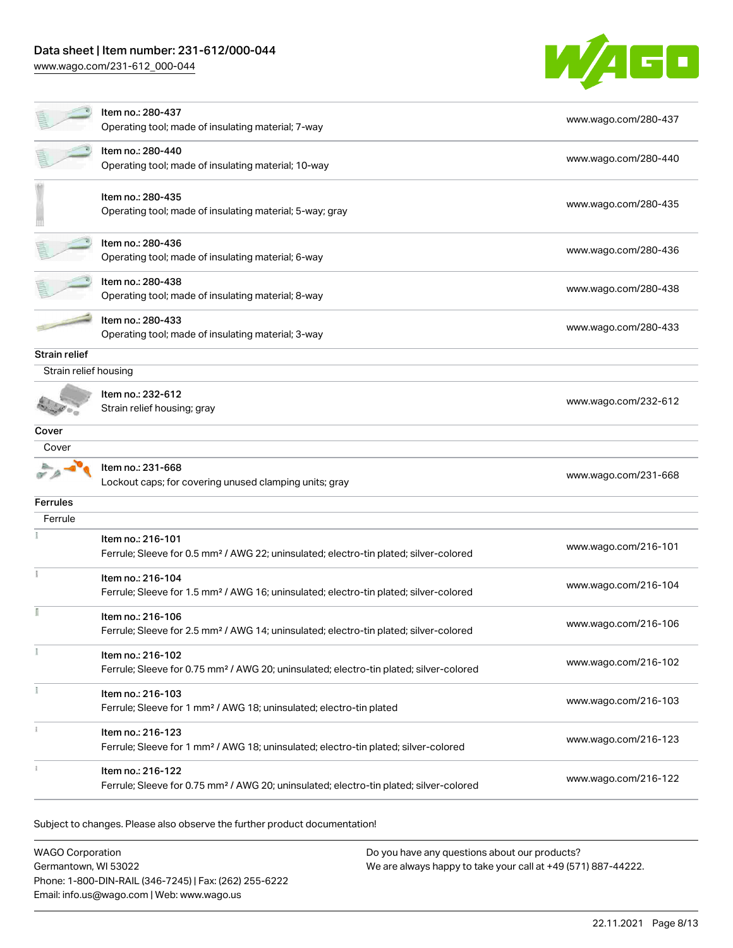[www.wago.com/231-612\\_000-044](http://www.wago.com/231-612_000-044)



|                       | Item no.: 280-437<br>Operating tool; made of insulating material; 7-way                                                 | www.wago.com/280-437 |
|-----------------------|-------------------------------------------------------------------------------------------------------------------------|----------------------|
|                       | Item no.: 280-440<br>Operating tool; made of insulating material; 10-way                                                | www.wago.com/280-440 |
|                       | Item no.: 280-435<br>Operating tool; made of insulating material; 5-way; gray                                           | www.wago.com/280-435 |
|                       | Item no.: 280-436<br>Operating tool; made of insulating material; 6-way                                                 | www.wago.com/280-436 |
|                       | Item no.: 280-438<br>Operating tool; made of insulating material; 8-way                                                 | www.wago.com/280-438 |
|                       | Item no.: 280-433<br>Operating tool; made of insulating material; 3-way                                                 | www.wago.com/280-433 |
| Strain relief         |                                                                                                                         |                      |
| Strain relief housing |                                                                                                                         |                      |
|                       | Item no.: 232-612<br>Strain relief housing; gray                                                                        | www.wago.com/232-612 |
| Cover                 |                                                                                                                         |                      |
| Cover                 |                                                                                                                         |                      |
|                       | Item no.: 231-668<br>Lockout caps; for covering unused clamping units; gray                                             | www.wago.com/231-668 |
| <b>Ferrules</b>       |                                                                                                                         |                      |
| Ferrule               |                                                                                                                         |                      |
|                       | Item no.: 216-101<br>Ferrule; Sleeve for 0.5 mm <sup>2</sup> / AWG 22; uninsulated; electro-tin plated; silver-colored  | www.wago.com/216-101 |
|                       | Item no.: 216-104<br>Ferrule; Sleeve for 1.5 mm <sup>2</sup> / AWG 16; uninsulated; electro-tin plated; silver-colored  | www.wago.com/216-104 |
|                       | Item no.: 216-106<br>Ferrule; Sleeve for 2.5 mm <sup>2</sup> / AWG 14; uninsulated; electro-tin plated; silver-colored  | www.wago.com/216-106 |
|                       | Item no.: 216-102<br>Ferrule; Sleeve for 0.75 mm <sup>2</sup> / AWG 20; uninsulated; electro-tin plated; silver-colored | www.wago.com/216-102 |
|                       | Item no.: 216-103<br>Ferrule; Sleeve for 1 mm <sup>2</sup> / AWG 18; uninsulated; electro-tin plated                    | www.wago.com/216-103 |
|                       | Item no.: 216-123<br>Ferrule; Sleeve for 1 mm <sup>2</sup> / AWG 18; uninsulated; electro-tin plated; silver-colored    | www.wago.com/216-123 |
|                       | Item no.: 216-122<br>Ferrule; Sleeve for 0.75 mm <sup>2</sup> / AWG 20; uninsulated; electro-tin plated; silver-colored | www.wago.com/216-122 |

Subject to changes. Please also observe the further product documentation!

WAGO Corporation Germantown, WI 53022 Phone: 1-800-DIN-RAIL (346-7245) | Fax: (262) 255-6222 Email: info.us@wago.com | Web: www.wago.us Do you have any questions about our products? We are always happy to take your call at +49 (571) 887-44222.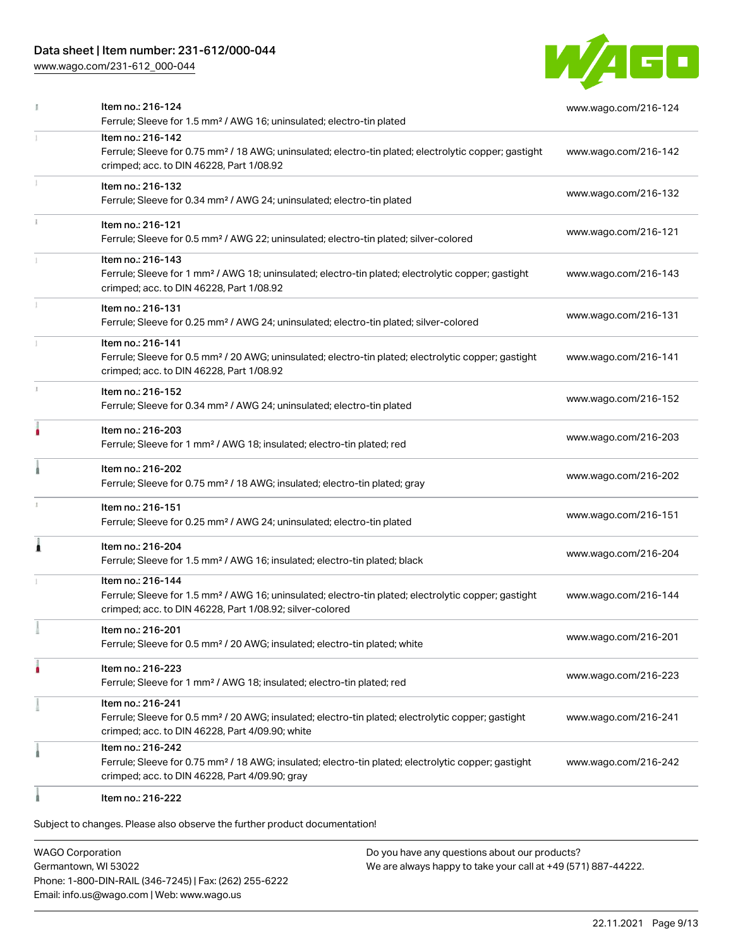[www.wago.com/231-612\\_000-044](http://www.wago.com/231-612_000-044)



|   | Item no.: 216-124<br>Ferrule; Sleeve for 1.5 mm <sup>2</sup> / AWG 16; uninsulated; electro-tin plated                                                                                            | www.wago.com/216-124 |
|---|---------------------------------------------------------------------------------------------------------------------------------------------------------------------------------------------------|----------------------|
|   | Item no.: 216-142<br>Ferrule; Sleeve for 0.75 mm <sup>2</sup> / 18 AWG; uninsulated; electro-tin plated; electrolytic copper; gastight<br>crimped; acc. to DIN 46228, Part 1/08.92                | www.wago.com/216-142 |
|   | Item no.: 216-132<br>Ferrule; Sleeve for 0.34 mm <sup>2</sup> / AWG 24; uninsulated; electro-tin plated                                                                                           | www.wago.com/216-132 |
|   | Item no.: 216-121<br>Ferrule; Sleeve for 0.5 mm <sup>2</sup> / AWG 22; uninsulated; electro-tin plated; silver-colored                                                                            | www.wago.com/216-121 |
|   | Item no.: 216-143<br>Ferrule; Sleeve for 1 mm <sup>2</sup> / AWG 18; uninsulated; electro-tin plated; electrolytic copper; gastight<br>crimped; acc. to DIN 46228, Part 1/08.92                   | www.wago.com/216-143 |
|   | Item no.: 216-131<br>Ferrule; Sleeve for 0.25 mm <sup>2</sup> / AWG 24; uninsulated; electro-tin plated; silver-colored                                                                           | www.wago.com/216-131 |
|   | Item no.: 216-141<br>Ferrule; Sleeve for 0.5 mm <sup>2</sup> / 20 AWG; uninsulated; electro-tin plated; electrolytic copper; gastight<br>crimped; acc. to DIN 46228, Part 1/08.92                 | www.wago.com/216-141 |
|   | Item no.: 216-152<br>Ferrule; Sleeve for 0.34 mm <sup>2</sup> / AWG 24; uninsulated; electro-tin plated                                                                                           | www.wago.com/216-152 |
| ۸ | Item no.: 216-203<br>Ferrule; Sleeve for 1 mm <sup>2</sup> / AWG 18; insulated; electro-tin plated; red                                                                                           | www.wago.com/216-203 |
|   | Item no.: 216-202<br>Ferrule; Sleeve for 0.75 mm <sup>2</sup> / 18 AWG; insulated; electro-tin plated; gray                                                                                       | www.wago.com/216-202 |
| ı | Item no.: 216-151<br>Ferrule; Sleeve for 0.25 mm <sup>2</sup> / AWG 24; uninsulated; electro-tin plated                                                                                           | www.wago.com/216-151 |
| 1 | Item no.: 216-204<br>Ferrule; Sleeve for 1.5 mm <sup>2</sup> / AWG 16; insulated; electro-tin plated; black                                                                                       | www.wago.com/216-204 |
|   | Item no.: 216-144<br>Ferrule; Sleeve for 1.5 mm <sup>2</sup> / AWG 16; uninsulated; electro-tin plated; electrolytic copper; gastight<br>crimped; acc. to DIN 46228, Part 1/08.92; silver-colored | www.wago.com/216-144 |
|   | Item no.: 216-201<br>Ferrule; Sleeve for 0.5 mm <sup>2</sup> / 20 AWG; insulated; electro-tin plated; white                                                                                       | www.wago.com/216-201 |
|   | Item no.: 216-223<br>Ferrule; Sleeve for 1 mm <sup>2</sup> / AWG 18; insulated; electro-tin plated; red                                                                                           | www.wago.com/216-223 |
|   | Item no.: 216-241<br>Ferrule; Sleeve for 0.5 mm <sup>2</sup> / 20 AWG; insulated; electro-tin plated; electrolytic copper; gastight<br>crimped; acc. to DIN 46228, Part 4/09.90; white            | www.wago.com/216-241 |
|   | Item no.: 216-242<br>Ferrule; Sleeve for 0.75 mm <sup>2</sup> / 18 AWG; insulated; electro-tin plated; electrolytic copper; gastight<br>crimped; acc. to DIN 46228, Part 4/09.90; gray            | www.wago.com/216-242 |
|   | Item no.: 216-222                                                                                                                                                                                 |                      |

Subject to changes. Please also observe the further product documentation!

WAGO Corporation Germantown, WI 53022 Phone: 1-800-DIN-RAIL (346-7245) | Fax: (262) 255-6222 Email: info.us@wago.com | Web: www.wago.us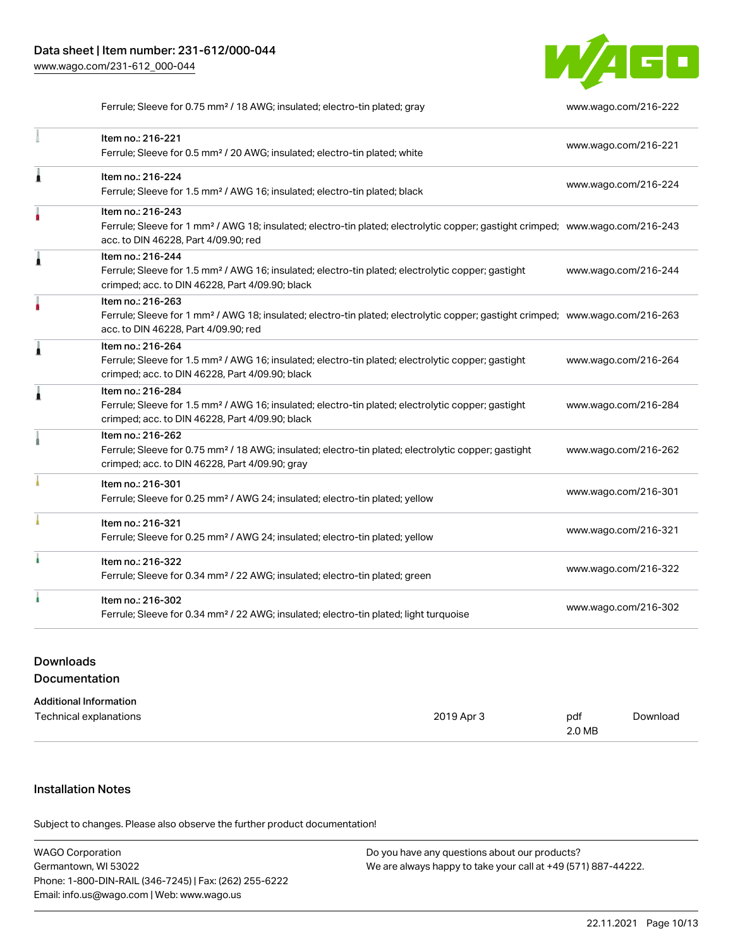1



Ferrule; Sleeve for 0.75 mm² / 18 AWG; insulated; electro-tin plated; gray [www.wago.com/216-222](http://www.wago.com/216-222)

| Item no.: 216-221                                                                                                                                                                  |                      |
|------------------------------------------------------------------------------------------------------------------------------------------------------------------------------------|----------------------|
| Ferrule; Sleeve for 0.5 mm <sup>2</sup> / 20 AWG; insulated; electro-tin plated; white                                                                                             | www.wago.com/216-221 |
| Item no.: 216-224                                                                                                                                                                  | www.wago.com/216-224 |
| Ferrule; Sleeve for 1.5 mm <sup>2</sup> / AWG 16; insulated; electro-tin plated; black                                                                                             |                      |
| Item no.: 216-243                                                                                                                                                                  |                      |
| Ferrule; Sleeve for 1 mm <sup>2</sup> / AWG 18; insulated; electro-tin plated; electrolytic copper; gastight crimped; www.wago.com/216-243<br>acc. to DIN 46228, Part 4/09.90; red |                      |
| Item no.: 216-244                                                                                                                                                                  |                      |
| Ferrule; Sleeve for 1.5 mm <sup>2</sup> / AWG 16; insulated; electro-tin plated; electrolytic copper; gastight                                                                     | www.wago.com/216-244 |
| crimped; acc. to DIN 46228, Part 4/09.90; black                                                                                                                                    |                      |
| Item no.: 216-263                                                                                                                                                                  |                      |
| Ferrule; Sleeve for 1 mm <sup>2</sup> / AWG 18; insulated; electro-tin plated; electrolytic copper; gastight crimped; www.wago.com/216-263                                         |                      |
| acc. to DIN 46228, Part 4/09.90; red                                                                                                                                               |                      |
| Item no.: 216-264                                                                                                                                                                  |                      |
| Ferrule; Sleeve for 1.5 mm <sup>2</sup> / AWG 16; insulated; electro-tin plated; electrolytic copper; gastight                                                                     | www.wago.com/216-264 |
| crimped; acc. to DIN 46228, Part 4/09.90; black                                                                                                                                    |                      |
| Item no.: 216-284                                                                                                                                                                  |                      |
| Ferrule; Sleeve for 1.5 mm <sup>2</sup> / AWG 16; insulated; electro-tin plated; electrolytic copper; gastight                                                                     | www.wago.com/216-284 |
| crimped; acc. to DIN 46228, Part 4/09.90; black                                                                                                                                    |                      |
| Item no.: 216-262                                                                                                                                                                  |                      |
| Ferrule; Sleeve for 0.75 mm <sup>2</sup> / 18 AWG; insulated; electro-tin plated; electrolytic copper; gastight                                                                    | www.wago.com/216-262 |
| crimped; acc. to DIN 46228, Part 4/09.90; gray                                                                                                                                     |                      |
| Item no.: 216-301                                                                                                                                                                  |                      |
| Ferrule; Sleeve for 0.25 mm <sup>2</sup> / AWG 24; insulated; electro-tin plated; yellow                                                                                           | www.wago.com/216-301 |

| Item no.: 216-301<br>Ferrule; Sleeve for 0.25 mm <sup>2</sup> / AWG 24; insulated; electro-tin plated; yellow          | www.wago.com/216-301 |
|------------------------------------------------------------------------------------------------------------------------|----------------------|
| Item no.: 216-321<br>Ferrule; Sleeve for 0.25 mm <sup>2</sup> / AWG 24; insulated; electro-tin plated; yellow          | www.wago.com/216-321 |
| Item no.: 216-322<br>Ferrule; Sleeve for 0.34 mm <sup>2</sup> / 22 AWG; insulated; electro-tin plated; green           | www.wago.com/216-322 |
| Item no.: 216-302<br>Ferrule; Sleeve for 0.34 mm <sup>2</sup> / 22 AWG; insulated; electro-tin plated; light turquoise | www.wago.com/216-302 |

## Downloads Documentation

| Additional Information |  |
|------------------------|--|
|------------------------|--|

| Technical explanations | 2019 Apr 3 | pdf    | Download |
|------------------------|------------|--------|----------|
|                        |            | 2.0 MB |          |

# Installation Notes

Subject to changes. Please also observe the further product documentation!

| <b>WAGO Corporation</b>                                | Do you have any questions about our products?                 |
|--------------------------------------------------------|---------------------------------------------------------------|
| Germantown, WI 53022                                   | We are always happy to take your call at +49 (571) 887-44222. |
| Phone: 1-800-DIN-RAIL (346-7245)   Fax: (262) 255-6222 |                                                               |
| Email: info.us@wago.com   Web: www.wago.us             |                                                               |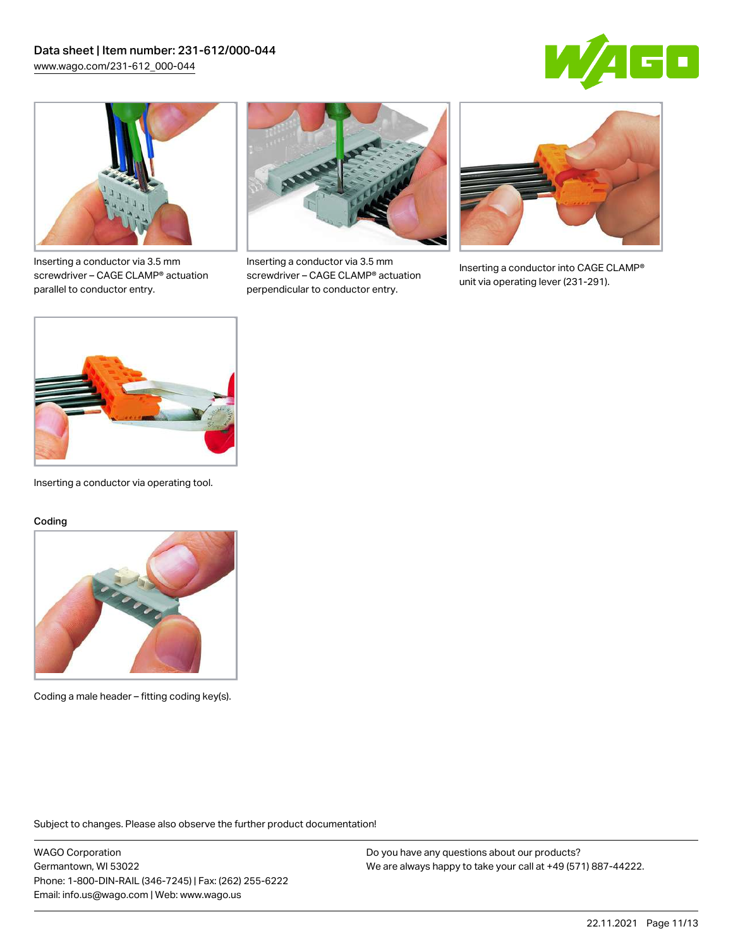



Inserting a conductor via 3.5 mm screwdriver – CAGE CLAMP® actuation parallel to conductor entry.



Inserting a conductor via 3.5 mm screwdriver – CAGE CLAMP® actuation perpendicular to conductor entry.



Inserting a conductor into CAGE CLAMP® unit via operating lever (231-291).



Inserting a conductor via operating tool.

#### Coding



Coding a male header – fitting coding key(s).

Subject to changes. Please also observe the further product documentation!

WAGO Corporation Germantown, WI 53022 Phone: 1-800-DIN-RAIL (346-7245) | Fax: (262) 255-6222 Email: info.us@wago.com | Web: www.wago.us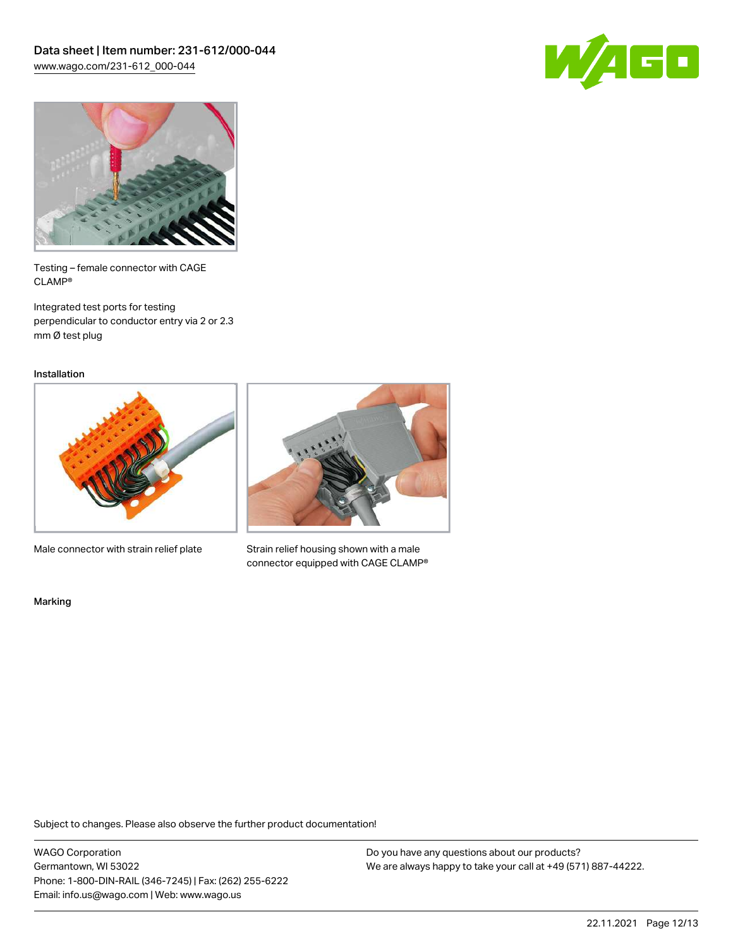



Testing – female connector with CAGE CLAMP®

Integrated test ports for testing perpendicular to conductor entry via 2 or 2.3 mm Ø test plug

Installation



Male connector with strain relief plate



Strain relief housing shown with a male connector equipped with CAGE CLAMP®

Marking

Subject to changes. Please also observe the further product documentation!

WAGO Corporation Germantown, WI 53022 Phone: 1-800-DIN-RAIL (346-7245) | Fax: (262) 255-6222 Email: info.us@wago.com | Web: www.wago.us